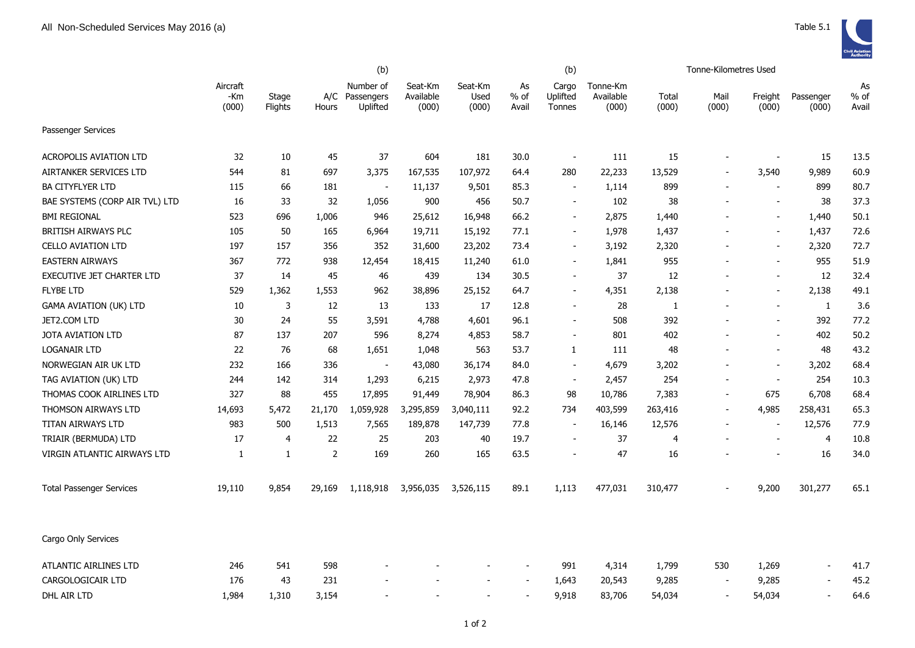

|                                 | (b)                      |                  |                |                                     | (b)                           |                          |                     |                             |                                |                |                          |                          |                          |                     |
|---------------------------------|--------------------------|------------------|----------------|-------------------------------------|-------------------------------|--------------------------|---------------------|-----------------------------|--------------------------------|----------------|--------------------------|--------------------------|--------------------------|---------------------|
|                                 | Aircraft<br>-Km<br>(000) | Stage<br>Flights | A/C<br>Hours   | Number of<br>Passengers<br>Uplifted | Seat-Km<br>Available<br>(000) | Seat-Km<br>Used<br>(000) | As<br>% of<br>Avail | Cargo<br>Uplifted<br>Tonnes | Tonne-Km<br>Available<br>(000) | Total<br>(000) | Mail<br>(000)            | Freight<br>(000)         | Passenger<br>(000)       | As<br>% of<br>Avail |
| Passenger Services              |                          |                  |                |                                     |                               |                          |                     |                             |                                |                |                          |                          |                          |                     |
| <b>ACROPOLIS AVIATION LTD</b>   | 32                       | 10               | 45             | 37                                  | 604                           | 181                      | 30.0                | $\sim$                      | 111                            | 15             | $\blacksquare$           | $\blacksquare$           | 15                       | 13.5                |
| AIRTANKER SERVICES LTD          | 544                      | 81               | 697            | 3,375                               | 167,535                       | 107,972                  | 64.4                | 280                         | 22,233                         | 13,529         | $\overline{\phantom{a}}$ | 3,540                    | 9,989                    | 60.9                |
| <b>BA CITYFLYER LTD</b>         | 115                      | 66               | 181            | $\overline{\phantom{a}}$            | 11,137                        | 9,501                    | 85.3                | $\blacksquare$              | 1,114                          | 899            | $\overline{a}$           |                          | 899                      | 80.7                |
| BAE SYSTEMS (CORP AIR TVL) LTD  | 16                       | 33               | 32             | 1,056                               | 900                           | 456                      | 50.7                | $\overline{\phantom{a}}$    | 102                            | 38             |                          | $\sim$                   | 38                       | 37.3                |
| <b>BMI REGIONAL</b>             | 523                      | 696              | 1,006          | 946                                 | 25,612                        | 16,948                   | 66.2                | $\blacksquare$              | 2,875                          | 1,440          |                          | $\overline{a}$           | 1,440                    | 50.1                |
| BRITISH AIRWAYS PLC             | 105                      | 50               | 165            | 6,964                               | 19,711                        | 15,192                   | 77.1                | $\blacksquare$              | 1,978                          | 1,437          |                          | $\sim$                   | 1,437                    | 72.6                |
| <b>CELLO AVIATION LTD</b>       | 197                      | 157              | 356            | 352                                 | 31,600                        | 23,202                   | 73.4                | $\overline{\phantom{a}}$    | 3,192                          | 2,320          |                          | $\overline{\phantom{a}}$ | 2,320                    | 72.7                |
| <b>EASTERN AIRWAYS</b>          | 367                      | 772              | 938            | 12,454                              | 18,415                        | 11,240                   | 61.0                | $\blacksquare$              | 1,841                          | 955            |                          | $\blacksquare$           | 955                      | 51.9                |
| EXECUTIVE JET CHARTER LTD       | 37                       | 14               | 45             | 46                                  | 439                           | 134                      | 30.5                | $\overline{\phantom{a}}$    | 37                             | 12             |                          | $\blacksquare$           | 12                       | 32.4                |
| <b>FLYBE LTD</b>                | 529                      | 1,362            | 1,553          | 962                                 | 38,896                        | 25,152                   | 64.7                | $\sim$                      | 4,351                          | 2,138          |                          | $\blacksquare$           | 2,138                    | 49.1                |
| <b>GAMA AVIATION (UK) LTD</b>   | 10                       | 3                | 12             | 13                                  | 133                           | 17                       | 12.8                | $\sim$                      | 28                             | 1              |                          | $\blacksquare$           | $\mathbf{1}$             | 3.6                 |
| JET2.COM LTD                    | 30                       | 24               | 55             | 3,591                               | 4,788                         | 4,601                    | 96.1                | $\sim$                      | 508                            | 392            |                          | $\overline{\phantom{a}}$ | 392                      | 77.2                |
| <b>JOTA AVIATION LTD</b>        | 87                       | 137              | 207            | 596                                 | 8,274                         | 4,853                    | 58.7                | $\blacksquare$              | 801                            | 402            |                          | $\blacksquare$           | 402                      | 50.2                |
| <b>LOGANAIR LTD</b>             | 22                       | 76               | 68             | 1,651                               | 1,048                         | 563                      | 53.7                | $\mathbf{1}$                | 111                            | 48             |                          | $\blacksquare$           | 48                       | 43.2                |
| NORWEGIAN AIR UK LTD            | 232                      | 166              | 336            | $\sim$                              | 43,080                        | 36,174                   | 84.0                | $\blacksquare$              | 4,679                          | 3,202          |                          | $\blacksquare$           | 3,202                    | 68.4                |
| TAG AVIATION (UK) LTD           | 244                      | 142              | 314            | 1,293                               | 6,215                         | 2,973                    | 47.8                | $\blacksquare$              | 2,457                          | 254            |                          | $\sim$                   | 254                      | 10.3                |
| THOMAS COOK AIRLINES LTD        | 327                      | 88               | 455            | 17,895                              | 91,449                        | 78,904                   | 86.3                | 98                          | 10,786                         | 7,383          | $\overline{\phantom{a}}$ | 675                      | 6,708                    | 68.4                |
| THOMSON AIRWAYS LTD             | 14,693                   | 5,472            | 21,170         | 1,059,928                           | 3,295,859                     | 3,040,111                | 92.2                | 734                         | 403,599                        | 263,416        | $\overline{\phantom{a}}$ | 4,985                    | 258,431                  | 65.3                |
| TITAN AIRWAYS LTD               | 983                      | 500              | 1,513          | 7,565                               | 189,878                       | 147,739                  | 77.8                | $\blacksquare$              | 16,146                         | 12,576         | $\blacksquare$           | $\blacksquare$           | 12,576                   | 77.9                |
| TRIAIR (BERMUDA) LTD            | 17                       | 4                | 22             | 25                                  | 203                           | 40                       | 19.7                | $\overline{\phantom{a}}$    | 37                             | $\overline{4}$ |                          | $\overline{a}$           | $\overline{4}$           | 10.8                |
| VIRGIN ATLANTIC AIRWAYS LTD     | -1                       | $\mathbf{1}$     | $\overline{2}$ | 169                                 | 260                           | 165                      | 63.5                |                             | 47                             | 16             |                          |                          | 16                       | 34.0                |
| <b>Total Passenger Services</b> | 19,110                   | 9,854            | 29,169         | 1,118,918                           | 3,956,035                     | 3,526,115                | 89.1                | 1,113                       | 477,031                        | 310,477        |                          | 9,200                    | 301,277                  | 65.1                |
| Cargo Only Services             |                          |                  |                |                                     |                               |                          |                     |                             |                                |                |                          |                          |                          |                     |
| ATLANTIC AIRLINES LTD           | 246                      | 541              | 598            |                                     |                               |                          |                     | 991                         | 4,314                          | 1,799          | 530                      | 1,269                    | $\blacksquare$           | 41.7                |
| CARGOLOGICAIR LTD               | 176                      | 43               | 231            |                                     |                               |                          |                     | 1,643                       | 20,543                         | 9,285          | $\blacksquare$           | 9,285                    | $\overline{\phantom{a}}$ | 45.2                |
| DHL AIR LTD                     | 1,984                    | 1,310            | 3,154          |                                     |                               |                          |                     | 9,918                       | 83,706                         | 54,034         | $\overline{\phantom{a}}$ | 54,034                   |                          | 64.6                |